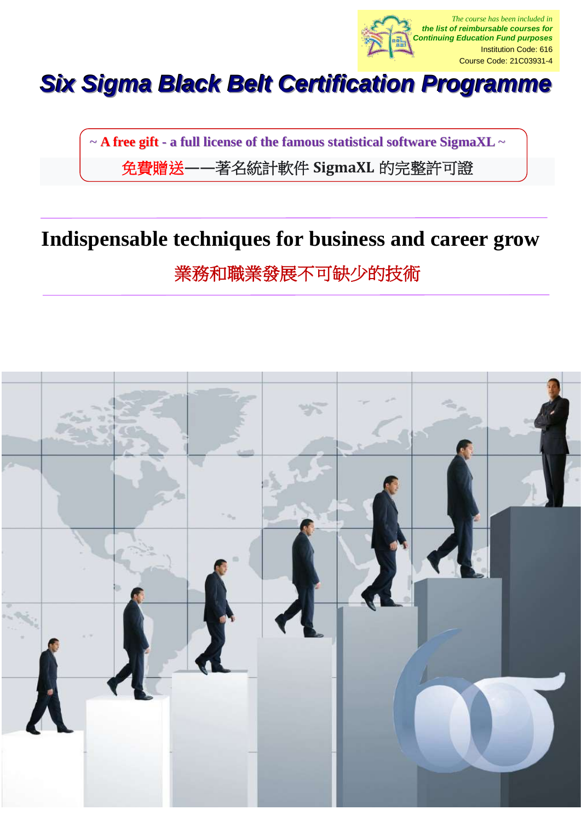

# *Six Sigma Black Belt Certification Programme*

~ **A free gift - a full license of the famous statistical software SigmaXL** ~ 免費贈送**——**著名統計軟件 **SigmaXL** 的完整許可證

# **Indispensable techniques for business and career grow**

業務和職業發展不可缺少的技術

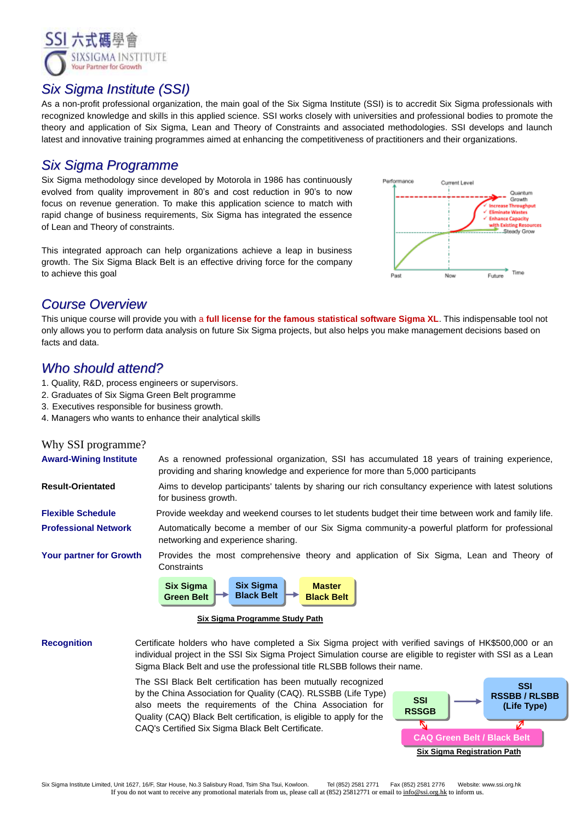

## *Six Sigma Institute (SSI)*

As a non-profit professional organization, the main goal of the Six Sigma Institute (SSI) is to accredit Six Sigma professionals with recognized knowledge and skills in this applied science. SSI works closely with universities and professional bodies to promote the theory and application of Six Sigma, Lean and Theory of Constraints and associated methodologies. SSI develops and launch latest and innovative training programmes aimed at enhancing the competitiveness of practitioners and their organizations.

## *Six Sigma Programme*

Six Sigma methodology since developed by Motorola in 1986 has continuously evolved from quality improvement in 80's and cost reduction in 90's to now focus on revenue generation. To make this application science to match with rapid change of business requirements, Six Sigma has integrated the essence of Lean and Theory of constraints.

This integrated approach can help organizations achieve a leap in business growth. The Six Sigma Black Belt is an effective driving force for the company to achieve this goal



# *Course Overview*

This unique course will provide you with a **full license for the famous statistical software Sigma XL**. This indispensable tool not only allows you to perform data analysis on future Six Sigma projects, but also helps you make management decisions based on facts and data.

## *Who should attend?*

- 1. Quality, R&D, process engineers or supervisors.
- 2. Graduates of Six Sigma Green Belt programme
- 3. Executives responsible for business growth.
- 4. Managers who wants to enhance their analytical skills

### Why SSI programme?

| <b>Award-Wining Institute</b>  | As a renowned professional organization, SSI has accumulated 18 years of training experience,<br>providing and sharing knowledge and experience for more than 5,000 participants |  |  |  |  |
|--------------------------------|----------------------------------------------------------------------------------------------------------------------------------------------------------------------------------|--|--|--|--|
| <b>Result-Orientated</b>       | Aims to develop participants' talents by sharing our rich consultancy experience with latest solutions<br>for business growth.                                                   |  |  |  |  |
| <b>Flexible Schedule</b>       | Provide weekday and weekend courses to let students budget their time between work and family life.                                                                              |  |  |  |  |
| <b>Professional Network</b>    | Automatically become a member of our Six Sigma community-a powerful platform for professional<br>networking and experience sharing.                                              |  |  |  |  |
| <b>Your partner for Growth</b> | Provides the most comprehensive theory and application of Six Sigma, Lean and Theory of<br>Constraints                                                                           |  |  |  |  |
|                                | <b>Six Sigma</b><br><b>Six Sigma</b><br><b>Master</b>                                                                                                                            |  |  |  |  |



#### **Six Sigma Programme Study Path**

**Recognition** Certificate holders who have completed a Six Sigma project with verified savings of HK\$500,000 or an individual project in the SSI Six Sigma Project Simulation course are eligible to register with SSI as a Lean Sigma Black Belt and use the professional title RLSBB follows their name.

> The SSI Black Belt certification has been mutually recognized by the China Association for Quality (CAQ). RLSSBB (Life Type) also meets the requirements of the China Association for Quality (CAQ) Black Belt certification, is eligible to apply for the CAQ's Certified Six Sigma Black Belt Certificate.

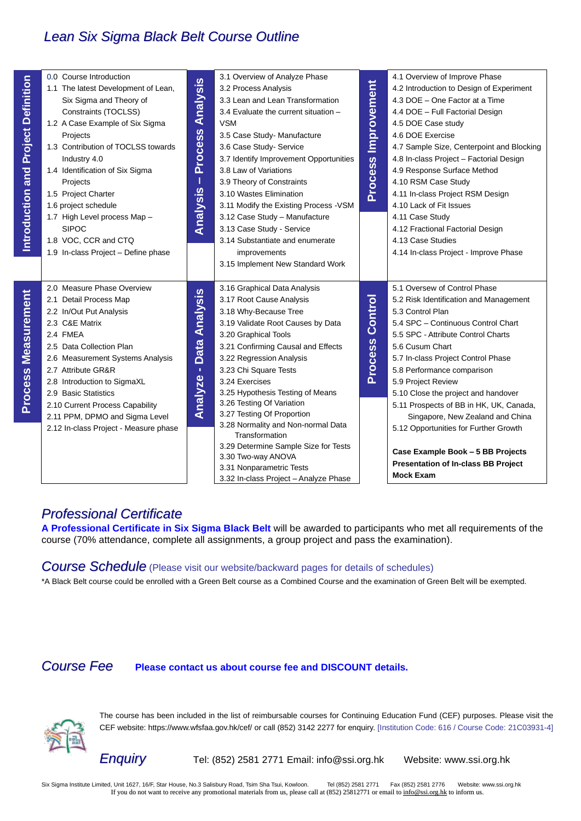# *Lean Six Sigma Black Belt Course Outline*

| <b>Project Definition</b><br>Introduction and | 0.0 Course Introduction<br>Projects<br>Industry 4.0<br>1.4 Identification of Six Sigma<br>Projects<br>1.5 Project Charter<br>1.6 project schedule<br>1.7 High Level process Map -<br><b>SIPOC</b><br>1.8 VOC, CCR and CTQ | 1.1 The latest Development of Lean,<br>Six Sigma and Theory of<br>Constraints (TOCLSS)<br>1.2 A Case Example of Six Sigma<br>1.3 Contribution of TOCLSS towards<br>1.9 In-class Project - Define phase | <b>Analysis</b><br><b>Process</b><br>I<br>Analysis | 3.1 Overview of Analyze Phase<br>3.2 Process Analysis<br>3.3 Lean and Lean Transformation<br>3.4 Evaluate the current situation -<br><b>VSM</b><br>3.5 Case Study- Manufacture<br>3.6 Case Study- Service<br>3.7 Identify Improvement Opportunities<br>3.8 Law of Variations<br>3.9 Theory of Constraints<br>3.10 Wastes Elimination<br>3.11 Modify the Existing Process - VSM<br>3.12 Case Study - Manufacture<br>3.13 Case Study - Service<br>3.14 Substantiate and enumerate<br>improvements<br>3.15 Implement New Standard Work                   | Process Improvement              | 4.1 Overview of Improve Phase<br>4.2 Introduction to Design of Experiment<br>4.3 DOE - One Factor at a Time<br>4.4 DOE - Full Factorial Design<br>4.5 DOE Case study<br>4.6 DOE Exercise<br>4.7 Sample Size, Centerpoint and Blocking<br>4.8 In-class Project - Factorial Design<br>4.9 Response Surface Method<br>4.10 RSM Case Study<br>4.11 In-class Project RSM Design<br>4.10 Lack of Fit Issues<br>4.11 Case Study<br>4.12 Fractional Factorial Design<br>4.13 Case Studies<br>4.14 In-class Project - Improve Phase                                |
|-----------------------------------------------|---------------------------------------------------------------------------------------------------------------------------------------------------------------------------------------------------------------------------|--------------------------------------------------------------------------------------------------------------------------------------------------------------------------------------------------------|----------------------------------------------------|-------------------------------------------------------------------------------------------------------------------------------------------------------------------------------------------------------------------------------------------------------------------------------------------------------------------------------------------------------------------------------------------------------------------------------------------------------------------------------------------------------------------------------------------------------|----------------------------------|-----------------------------------------------------------------------------------------------------------------------------------------------------------------------------------------------------------------------------------------------------------------------------------------------------------------------------------------------------------------------------------------------------------------------------------------------------------------------------------------------------------------------------------------------------------|
| <b>Measurement</b><br><b>Process</b>          | 2.0 Measure Phase Overview<br>2.1 Detail Process Map<br>2.2 In/Out Put Analysis<br>2.3 C&E Matrix<br>2.4 FMEA<br>2.5 Data Collection Plan<br>2.7 Attribute GR&R<br>2.8 Introduction to SigmaXL<br>2.9 Basic Statistics    | 2.6 Measurement Systems Analysis<br>2.10 Current Process Capability<br>2.11 PPM, DPMO and Sigma Level<br>2.12 In-class Project - Measure phase                                                         | Data Analysis<br>¥,<br>Analyze                     | 3.16 Graphical Data Analysis<br>3.17 Root Cause Analysis<br>3.18 Why-Because Tree<br>3.19 Validate Root Causes by Data<br>3.20 Graphical Tools<br>3.21 Confirming Causal and Effects<br>3.22 Regression Analysis<br>3.23 Chi Square Tests<br>3.24 Exercises<br>3.25 Hypothesis Testing of Means<br>3.26 Testing Of Variation<br>3.27 Testing Of Proportion<br>3.28 Normality and Non-normal Data<br>Transformation<br>3.29 Determine Sample Size for Tests<br>3.30 Two-way ANOVA<br>3.31 Nonparametric Tests<br>3.32 In-class Project - Analyze Phase | <b>Control</b><br><b>Process</b> | 5.1 Oversew of Control Phase<br>5.2 Risk Identification and Management<br>5.3 Control Plan<br>5.4 SPC - Continuous Control Chart<br>5.5 SPC - Attribute Control Charts<br>5.6 Cusum Chart<br>5.7 In-class Project Control Phase<br>5.8 Performance comparison<br>5.9 Project Review<br>5.10 Close the project and handover<br>5.11 Prospects of BB in HK, UK, Canada,<br>Singapore, New Zealand and China<br>5.12 Opportunities for Further Growth<br>Case Example Book - 5 BB Projects<br><b>Presentation of In-class BB Project</b><br><b>Mock Exam</b> |
|                                               | <b>Course Fee</b>                                                                                                                                                                                                         | <b>Professional Certificate</b>                                                                                                                                                                        |                                                    | course (70% attendance, complete all assignments, a group project and pass the examination).<br><b>Course Schedule</b> (Please visit our website/backward pages for details of schedules)<br>*A Black Belt course could be enrolled with a Green Belt course as a Combined Course and the examination of Green Belt will be exempted.<br>Please contact us about course fee and DISCOUNT details.                                                                                                                                                     |                                  | A Professional Certificate in Six Sigma Black Belt will be awarded to participants who met all requirements of the                                                                                                                                                                                                                                                                                                                                                                                                                                        |
|                                               |                                                                                                                                                                                                                           |                                                                                                                                                                                                        |                                                    |                                                                                                                                                                                                                                                                                                                                                                                                                                                                                                                                                       |                                  | The course has been included in the list of reimbursable courses for Continuing Education Fund (CEF) purposes. Please visit t<br>CEF website: https://www.wfsfaa.gov.hk/cef/ or call (852) 3142 2277 for enquiry. [Institution Code: 616 / Course Code: 21C03931                                                                                                                                                                                                                                                                                          |
|                                               |                                                                                                                                                                                                                           | <b>Enquiry</b>                                                                                                                                                                                         |                                                    | Tel: (852) 2581 2771 Email: info@ssi.org.hk                                                                                                                                                                                                                                                                                                                                                                                                                                                                                                           |                                  | Website: www.ssi.org.hk                                                                                                                                                                                                                                                                                                                                                                                                                                                                                                                                   |
|                                               |                                                                                                                                                                                                                           |                                                                                                                                                                                                        |                                                    | Six Sigma Institute Limited, Unit 1627, 16/F, Star House, No.3 Salisbury Road, Tsim Sha Tsui, Kowloon.<br>Tel (852) 2581 2771<br>If you do not want to receive any promotional materials from us, please call at $(852)$ 25812771 or email to info@ssi.org.hk to inform us.                                                                                                                                                                                                                                                                           |                                  | Fax (852) 2581 2776<br>Website: www.ssi.org.hk                                                                                                                                                                                                                                                                                                                                                                                                                                                                                                            |

# *Professional Certificate*

# *Course Fee* **Please contact us about course fee and DISCOUNT details.**

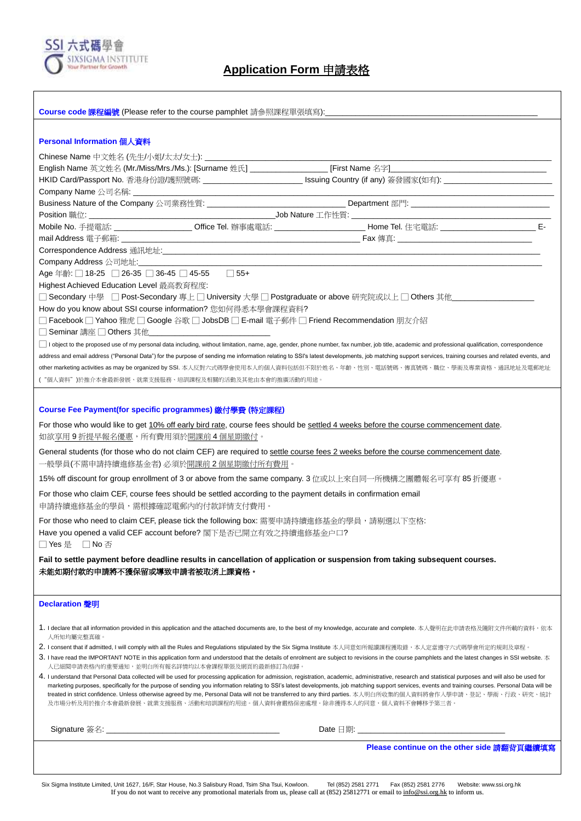

### **Application Form** 申請表格

| Course code 課程編號 (Please refer to the course pamphlet 請參照課程單張填寫):                                                                                                                                                                                                                                                                                                                                                                                                                                                                                                                                                                                        |  |  |  |  |  |  |  |
|----------------------------------------------------------------------------------------------------------------------------------------------------------------------------------------------------------------------------------------------------------------------------------------------------------------------------------------------------------------------------------------------------------------------------------------------------------------------------------------------------------------------------------------------------------------------------------------------------------------------------------------------------------|--|--|--|--|--|--|--|
|                                                                                                                                                                                                                                                                                                                                                                                                                                                                                                                                                                                                                                                          |  |  |  |  |  |  |  |
| Personal Information 個人資料                                                                                                                                                                                                                                                                                                                                                                                                                                                                                                                                                                                                                                |  |  |  |  |  |  |  |
|                                                                                                                                                                                                                                                                                                                                                                                                                                                                                                                                                                                                                                                          |  |  |  |  |  |  |  |
|                                                                                                                                                                                                                                                                                                                                                                                                                                                                                                                                                                                                                                                          |  |  |  |  |  |  |  |
| HKID Card/Passport No. 香港身份證/護照號碼: __________________________________ Issuing Country (if any) 簽發國家(如有): _____________________________                                                                                                                                                                                                                                                                                                                                                                                                                                                                                                                   |  |  |  |  |  |  |  |
|                                                                                                                                                                                                                                                                                                                                                                                                                                                                                                                                                                                                                                                          |  |  |  |  |  |  |  |
|                                                                                                                                                                                                                                                                                                                                                                                                                                                                                                                                                                                                                                                          |  |  |  |  |  |  |  |
|                                                                                                                                                                                                                                                                                                                                                                                                                                                                                                                                                                                                                                                          |  |  |  |  |  |  |  |
| Mobile No. 手提電話: _____________________ Office Tel. 辦事處電話: ______________________ Home Tel. 住宅電話: __________________________ E-                                                                                                                                                                                                                                                                                                                                                                                                                                                                                                                           |  |  |  |  |  |  |  |
|                                                                                                                                                                                                                                                                                                                                                                                                                                                                                                                                                                                                                                                          |  |  |  |  |  |  |  |
|                                                                                                                                                                                                                                                                                                                                                                                                                                                                                                                                                                                                                                                          |  |  |  |  |  |  |  |
|                                                                                                                                                                                                                                                                                                                                                                                                                                                                                                                                                                                                                                                          |  |  |  |  |  |  |  |
| Age 年齡: □ 18-25 □ 26-35 □ 36-45 □ 45-55   □ 55+                                                                                                                                                                                                                                                                                                                                                                                                                                                                                                                                                                                                          |  |  |  |  |  |  |  |
| Highest Achieved Education Level 最高教育程度:                                                                                                                                                                                                                                                                                                                                                                                                                                                                                                                                                                                                                 |  |  |  |  |  |  |  |
| □ Secondary 中學 □ Post-Secondary 專上□ University 大學 □ Postgraduate or above 研究院或以上 □ Others 其他                                                                                                                                                                                                                                                                                                                                                                                                                                                                                                                                                             |  |  |  |  |  |  |  |
| How do you know about SSI course information? 您如何得悉本學會課程資料?<br>□ Facebook □ Yahoo 雅虎 □ Google 谷歌 □ JobsDB □ E-mail 電子郵件 □ Friend Recommendation 朋友介紹                                                                                                                                                                                                                                                                                                                                                                                                                                                                                                     |  |  |  |  |  |  |  |
| □ Seminar 講座 □ Others 其他                                                                                                                                                                                                                                                                                                                                                                                                                                                                                                                                                                                                                                 |  |  |  |  |  |  |  |
| I object to the proposed use of my personal data including, without limitation, name, age, gender, phone number, fax number, job title, academic and professional qualification, correspondence                                                                                                                                                                                                                                                                                                                                                                                                                                                          |  |  |  |  |  |  |  |
| address and email address ("Personal Data") for the purpose of sending me information relating to SSI's latest developments, job matching support services, training courses and related events, and                                                                                                                                                                                                                                                                                                                                                                                                                                                     |  |  |  |  |  |  |  |
| other marketing activities as may be organized by SSI. 本人反對六式碼學會使用本人的個人資料包括但不限於姓名、年齡、性別、電話號碼、傳真號碼、職位、學術及專業資格、通訊地址及電郵地址                                                                                                                                                                                                                                                                                                                                                                                                                                                                                                                                   |  |  |  |  |  |  |  |
| ("個人資料")於推介本會最新發展、就業支援服務、培訓課程及相關的活動及其他由本會的推廣活動的用途。                                                                                                                                                                                                                                                                                                                                                                                                                                                                                                                                                                                                       |  |  |  |  |  |  |  |
|                                                                                                                                                                                                                                                                                                                                                                                                                                                                                                                                                                                                                                                          |  |  |  |  |  |  |  |
|                                                                                                                                                                                                                                                                                                                                                                                                                                                                                                                                                                                                                                                          |  |  |  |  |  |  |  |
| Course Fee Payment(for specific programmes) 繳付學費 (特定課程)                                                                                                                                                                                                                                                                                                                                                                                                                                                                                                                                                                                                  |  |  |  |  |  |  |  |
| For those who would like to get 10% off early bird rate, course fees should be settled 4 weeks before the course commencement date.<br>如欲 <u>享用9折提早報名優惠</u> ,所有費用須於 <u>開課前4個星期繳付</u> 。                                                                                                                                                                                                                                                                                                                                                                                                                                                                   |  |  |  |  |  |  |  |
| General students (for those who do not claim CEF) are required to settle course fees 2 weeks before the course commencement date.<br>一般學員(不需申請持續進修基金者) 必須於 <u>開課前 2 個星期繳付所有費用</u> 。                                                                                                                                                                                                                                                                                                                                                                                                                                                                      |  |  |  |  |  |  |  |
| 15% off discount for group enrollment of 3 or above from the same company. 3 位或以上來自同一所機構之團體報名可享有 85 折優惠。                                                                                                                                                                                                                                                                                                                                                                                                                                                                                                                                                 |  |  |  |  |  |  |  |
| For those who claim CEF, course fees should be settled according to the payment details in confirmation email<br>申請持續進修基金的學員,需根據確認電郵內的付款詳情支付費用。                                                                                                                                                                                                                                                                                                                                                                                                                                                                                                          |  |  |  |  |  |  |  |
| For those who need to claim CEF, please tick the following box: 需要申請持續進修基金的學員,請剔選以下空格:                                                                                                                                                                                                                                                                                                                                                                                                                                                                                                                                                                   |  |  |  |  |  |  |  |
| Have you opened a valid CEF account before? 閣下是否已開立有效之持續進修基金户口?<br>□ Yes 是 □ No 否                                                                                                                                                                                                                                                                                                                                                                                                                                                                                                                                                                        |  |  |  |  |  |  |  |
| Fail to settle payment before deadline results in cancellation of application or suspension from taking subsequent courses.                                                                                                                                                                                                                                                                                                                                                                                                                                                                                                                              |  |  |  |  |  |  |  |
| 未能如期付款的申請將不獲保留或導致申請者被取消上課資格。                                                                                                                                                                                                                                                                                                                                                                                                                                                                                                                                                                                                                             |  |  |  |  |  |  |  |
|                                                                                                                                                                                                                                                                                                                                                                                                                                                                                                                                                                                                                                                          |  |  |  |  |  |  |  |
|                                                                                                                                                                                                                                                                                                                                                                                                                                                                                                                                                                                                                                                          |  |  |  |  |  |  |  |
| Declaration 聲明                                                                                                                                                                                                                                                                                                                                                                                                                                                                                                                                                                                                                                           |  |  |  |  |  |  |  |
| 1. I declare that all information provided in this application and the attached documents are, to the best of my knowledge, accurate and complete. 本人聲明在此申請表格及隨附文件所載的資料, 依本                                                                                                                                                                                                                                                                                                                                                                                                                                                                              |  |  |  |  |  |  |  |
| 人所知均屬完整真確。                                                                                                                                                                                                                                                                                                                                                                                                                                                                                                                                                                                                                                               |  |  |  |  |  |  |  |
| 2. I consent that if admitted, I will comply with all the Rules and Regulations stipulated by the Six Sigma Institute 本人同意如所報讀課程獲取錄,本人定當遵守六式碼學會所定的規則及章程。                                                                                                                                                                                                                                                                                                                                                                                                                                                                                                 |  |  |  |  |  |  |  |
| 3. I have read the IMPORTANT NOTE in this application form and understood that the details of enrolment are subject to revisions in the course pamphlets and the latest changes in SSI website. $\pm$                                                                                                                                                                                                                                                                                                                                                                                                                                                    |  |  |  |  |  |  |  |
| 人已細閱申請表格內的重要通知,並明白所有報名詳情均以本會課程單張及網頁的最新修訂為依歸。                                                                                                                                                                                                                                                                                                                                                                                                                                                                                                                                                                                                             |  |  |  |  |  |  |  |
| 4. I understand that Personal Data collected will be used for processing application for admission, registration, academic, administrative, research and statistical purposes and will also be used for<br>marketing purposes, specifically for the purpose of sending you information relating to SSI's latest developments, job matching support services, events and training courses. Personal Data will be<br>treated in strict confidence. Unless otherwise agreed by me, Personal Data will not be transferred to any third parties. 本人明白所收集的個人資料將會作入學申請、登記、學術、行政、研究、統計<br>及市場分析及用於推介本會最新發展、就業支援服務、活動和培訓課程的用途。個人資料會嚴格保密處理。除非獲得本人的同意,個人資料不會轉移予第三者。 |  |  |  |  |  |  |  |
|                                                                                                                                                                                                                                                                                                                                                                                                                                                                                                                                                                                                                                                          |  |  |  |  |  |  |  |
| Please continue on the other side 請翻背頁繼續填寫                                                                                                                                                                                                                                                                                                                                                                                                                                                                                                                                                                                                               |  |  |  |  |  |  |  |
|                                                                                                                                                                                                                                                                                                                                                                                                                                                                                                                                                                                                                                                          |  |  |  |  |  |  |  |